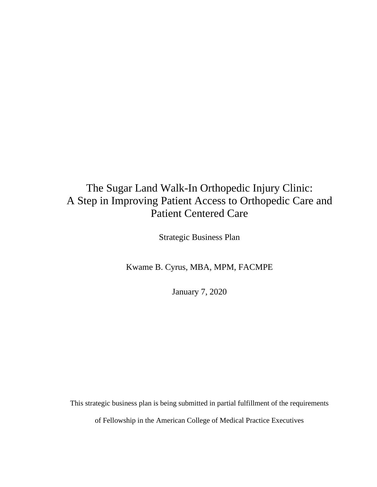# The Sugar Land Walk-In Orthopedic Injury Clinic: A Step in Improving Patient Access to Orthopedic Care and Patient Centered Care

Strategic Business Plan

Kwame B. Cyrus, MBA, MPM, FACMPE

January 7, 2020

This strategic business plan is being submitted in partial fulfillment of the requirements

of Fellowship in the American College of Medical Practice Executives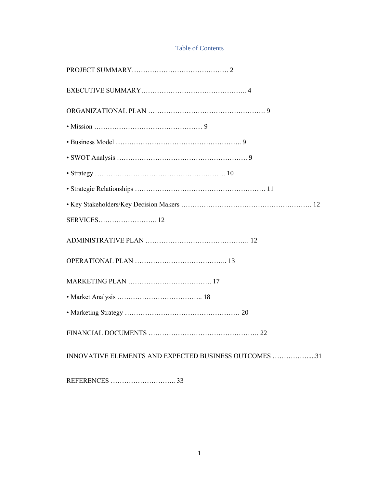### Table of Contents

| INNOVATIVE ELEMENTS AND EXPECTED BUSINESS OUTCOMES 31 |
|-------------------------------------------------------|
|                                                       |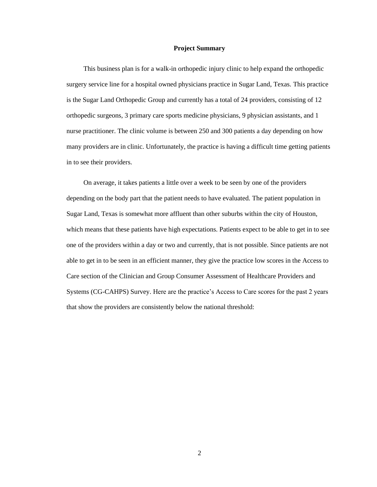### **Project Summary**

 This business plan is for a walk-in orthopedic injury clinic to help expand the orthopedic surgery service line for a hospital owned physicians practice in Sugar Land, Texas. This practice is the Sugar Land Orthopedic Group and currently has a total of 24 providers, consisting of 12 orthopedic surgeons, 3 primary care sports medicine physicians, 9 physician assistants, and 1 nurse practitioner. The clinic volume is between 250 and 300 patients a day depending on how many providers are in clinic. Unfortunately, the practice is having a difficult time getting patients in to see their providers.

 On average, it takes patients a little over a week to be seen by one of the providers depending on the body part that the patient needs to have evaluated. The patient population in Sugar Land, Texas is somewhat more affluent than other suburbs within the city of Houston, which means that these patients have high expectations. Patients expect to be able to get in to see one of the providers within a day or two and currently, that is not possible. Since patients are not able to get in to be seen in an efficient manner, they give the practice low scores in the Access to Care section of the Clinician and Group Consumer Assessment of Healthcare Providers and Systems (CG-CAHPS) Survey. Here are the practice's Access to Care scores for the past 2 years that show the providers are consistently below the national threshold: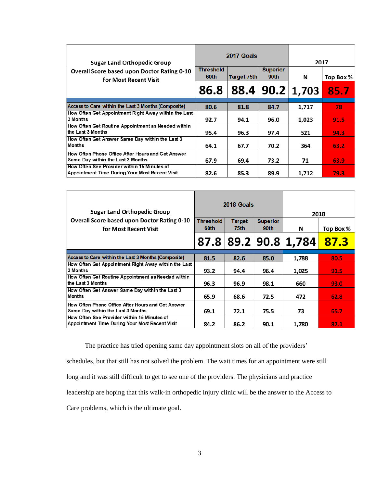| <b>Sugar Land Orthopedic Group</b>                                                            |                          | 2017 Goals  |                         | 2017              |           |
|-----------------------------------------------------------------------------------------------|--------------------------|-------------|-------------------------|-------------------|-----------|
| <b>Overall Score based upon Doctor Rating 0-10</b><br>for Most Recent Visit                   | <b>Threshold</b><br>60th | Target 75th | <b>Superior</b><br>90th | N                 | Top Box % |
|                                                                                               | 86.8                     | 88.4        |                         | $90.2 \mid 1,703$ | 85.7      |
| Access to Care within the Last 3 Months (Composite)                                           | 80.6                     | 81.8        | 84.7                    | 1,717             | 78        |
| How Often Get Appointment Right Away within the Last<br>3 Months                              | 92.7                     | 94.1        | 96.0                    | 1,023             | 91.5      |
| How Often Get Routine Appointment as Needed within<br>the Last 3 Months                       | 95.4                     | 96.3        | 97.4                    | 521               | 94.3      |
| How Often Get Answer Same Day within the Last 3<br><b>Months</b>                              | 64.1                     | 67.7        | 70.2                    | 364               | 63.2      |
| How Often Phone Office After Hours and Get Answer<br>Same Day within the Last 3 Months        | 67.9                     | 69.4        | 73.2                    | 71                | 63.9      |
| How Often See Provider within 15 Minutes of<br>Appointment Time During Your Most Recent Visit | 82.6                     | 85.3        | 89.9                    | 1.712             | 79.3      |

| <b>Sugar Land Orthopedic Group</b>                                                            |                          | 2018 Goals            |                         |                      | 2018      |
|-----------------------------------------------------------------------------------------------|--------------------------|-----------------------|-------------------------|----------------------|-----------|
| Overall Score based upon Doctor Rating 0-10<br>for Most Recent Visit                          | <b>Threshold</b><br>60th | <b>Target</b><br>75th | <b>Superior</b><br>90th | N                    | Top Box % |
|                                                                                               |                          |                       |                         | 87.8 89.2 90.8 1,784 | 87.3      |
|                                                                                               |                          |                       |                         |                      |           |
| Access to Care within the Last 3 Months (Composite)                                           | 81.5                     | 82.6                  | 85.0                    | 1,788                | 80.5      |
| How Often Get Appointment Right Away within the Last<br>3 Months                              | 93.2                     | 94.4                  | 96.4                    | 1,025                | 91.5      |
| How Often Get Routine Appointment as Needed within<br>the Last 3 Months                       | 96.3                     | 96.9                  | 98.1                    | 660                  | 93.0      |
| How Often Get Answer Same Day within the Last 3<br><b>Months</b>                              | 65.9                     | 68.6                  | 72.5                    | 472                  | 62.8      |
| How Often Phone Office After Hours and Get Answer<br>Same Day within the Last 3 Months        | 69.1                     | 72.1                  | 75.5                    | 73                   | 65.7      |
| How Often See Provider within 15 Minutes of<br>Appointment Time During Your Most Recent Visit | 84.2                     | 86.2                  | 90.1                    | 1.780                | 82.1      |

The practice has tried opening same day appointment slots on all of the providers'

schedules, but that still has not solved the problem. The wait times for an appointment were still long and it was still difficult to get to see one of the providers. The physicians and practice leadership are hoping that this walk-in orthopedic injury clinic will be the answer to the Access to Care problems, which is the ultimate goal.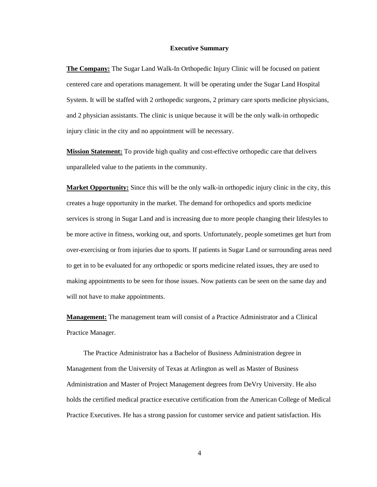#### **Executive Summary**

**The Company:** The Sugar Land Walk-In Orthopedic Injury Clinic will be focused on patient centered care and operations management. It will be operating under the Sugar Land Hospital System. It will be staffed with 2 orthopedic surgeons, 2 primary care sports medicine physicians, and 2 physician assistants. The clinic is unique because it will be the only walk-in orthopedic injury clinic in the city and no appointment will be necessary.

**Mission Statement:** To provide high quality and cost-effective orthopedic care that delivers unparalleled value to the patients in the community.

**Market Opportunity:** Since this will be the only walk-in orthopedic injury clinic in the city, this creates a huge opportunity in the market. The demand for orthopedics and sports medicine services is strong in Sugar Land and is increasing due to more people changing their lifestyles to be more active in fitness, working out, and sports. Unfortunately, people sometimes get hurt from over-exercising or from injuries due to sports. If patients in Sugar Land or surrounding areas need to get in to be evaluated for any orthopedic or sports medicine related issues, they are used to making appointments to be seen for those issues. Now patients can be seen on the same day and will not have to make appointments.

**Management:** The management team will consist of a Practice Administrator and a Clinical Practice Manager.

 The Practice Administrator has a Bachelor of Business Administration degree in Management from the University of Texas at Arlington as well as Master of Business Administration and Master of Project Management degrees from DeVry University. He also holds the certified medical practice executive certification from the American College of Medical Practice Executives. He has a strong passion for customer service and patient satisfaction. His

4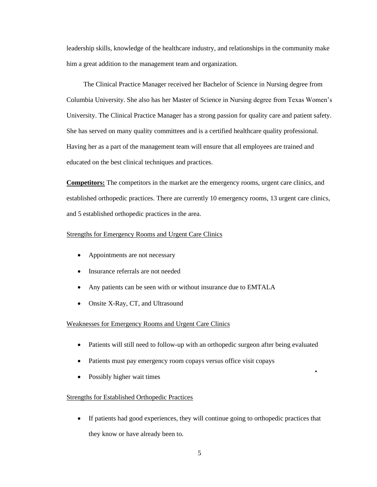leadership skills, knowledge of the healthcare industry, and relationships in the community make him a great addition to the management team and organization.

 The Clinical Practice Manager received her Bachelor of Science in Nursing degree from Columbia University. She also has her Master of Science in Nursing degree from Texas Women's University. The Clinical Practice Manager has a strong passion for quality care and patient safety. She has served on many quality committees and is a certified healthcare quality professional. Having her as a part of the management team will ensure that all employees are trained and educated on the best clinical techniques and practices.

**Competitors:** The competitors in the market are the emergency rooms, urgent care clinics, and established orthopedic practices. There are currently 10 emergency rooms, 13 urgent care clinics, and 5 established orthopedic practices in the area.

### Strengths for Emergency Rooms and Urgent Care Clinics

- Appointments are not necessary
- Insurance referrals are not needed
- Any patients can be seen with or without insurance due to EMTALA
- Onsite X-Ray, CT, and Ultrasound

### Weaknesses for Emergency Rooms and Urgent Care Clinics

- Patients will still need to follow-up with an orthopedic surgeon after being evaluated
- Patients must pay emergency room copays versus office visit copays
- Possibly higher wait times

### Strengths for Established Orthopedic Practices

• If patients had good experiences, they will continue going to orthopedic practices that they know or have already been to.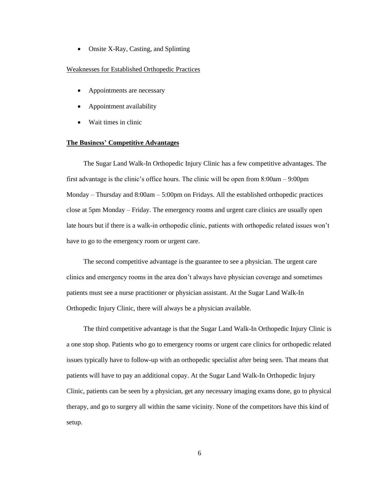• Onsite X-Ray, Casting, and Splinting

### Weaknesses for Established Orthopedic Practices

- Appointments are necessary
- Appointment availability
- Wait times in clinic

#### **The Business' Competitive Advantages**

 The Sugar Land Walk-In Orthopedic Injury Clinic has a few competitive advantages. The first advantage is the clinic's office hours. The clinic will be open from 8:00am – 9:00pm Monday – Thursday and  $8:00$ am –  $5:00$ pm on Fridays. All the established orthopedic practices close at 5pm Monday – Friday. The emergency rooms and urgent care clinics are usually open late hours but if there is a walk-in orthopedic clinic, patients with orthopedic related issues won't have to go to the emergency room or urgent care.

 The second competitive advantage is the guarantee to see a physician. The urgent care clinics and emergency rooms in the area don't always have physician coverage and sometimes patients must see a nurse practitioner or physician assistant. At the Sugar Land Walk-In Orthopedic Injury Clinic, there will always be a physician available.

 The third competitive advantage is that the Sugar Land Walk-In Orthopedic Injury Clinic is a one stop shop. Patients who go to emergency rooms or urgent care clinics for orthopedic related issues typically have to follow-up with an orthopedic specialist after being seen. That means that patients will have to pay an additional copay. At the Sugar Land Walk-In Orthopedic Injury Clinic, patients can be seen by a physician, get any necessary imaging exams done, go to physical therapy, and go to surgery all within the same vicinity. None of the competitors have this kind of setup.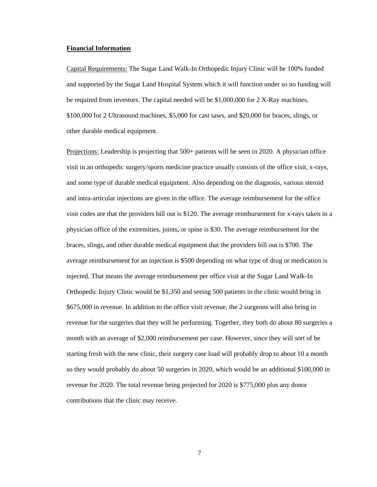### **Financial Information**

Capital Requirements: The Sugar Land Walk-In Orthopedic Injury Clinic will be 100% funded and supported by the Sugar Land Hospital System which it will function under so no funding will be required from investors. The capital needed will be \$1,000,000 for 2 X-Ray machines, \$100,000 for 2 Ultrasound machines, \$5,000 for cast saws, and \$20,000 for braces, slings, or other durable medical equipment.

Projections: Leadership is projecting that 500+ patients will be seen in 2020. A physician office visit in an orthopedic surgery/sports medicine practice usually consists of the office visit, x-rays, and some type of durable medical equipment. Also depending on the diagnosis, various steroid and intra-articular injections are given in the office. The average reimbursement for the office visit codes are that the providers bill out is \$120. The average reimbursement for x-rays taken in a physician office of the extremities, joints, or spine is \$30. The average reimbursement for the braces, slings, and other durable medical equipment that the providers bill out is \$700. The average reimbursement for an injection is \$500 depending on what type of drug or medication is injected. That means the average reimbursement per office visit at the Sugar Land Walk-In Orthopedic Injury Clinic would be \$1,350 and seeing 500 patients in the clinic would bring in \$675,000 in revenue. In addition to the office visit revenue, the 2 surgeons will also bring in revenue for the surgeries that they will be performing. Together, they both do about 80 surgeries a month with an average of \$2,000 reimbursement per case. However, since they will sort of be starting fresh with the new clinic, their surgery case load will probably drop to about 10 a month so they would probably do about 50 surgeries in 2020, which would be an additional \$100,000 in revenue for 2020. The total revenue being projected for 2020 is \$775,000 plus any donor contributions that the clinic may receive.

7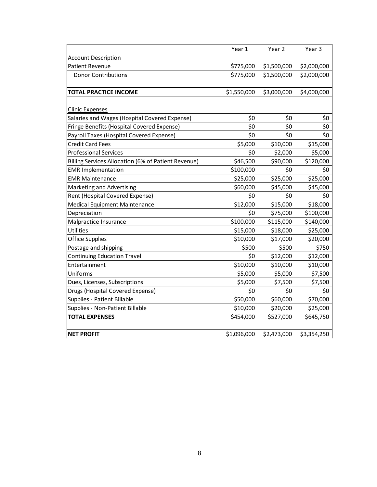|                                                     | Year 1      | Year 2      | Year 3      |
|-----------------------------------------------------|-------------|-------------|-------------|
| <b>Account Description</b>                          |             |             |             |
| <b>Patient Revenue</b>                              | \$775,000   | \$1,500,000 | \$2,000,000 |
| <b>Donor Contributions</b>                          | \$775,000   | \$1,500,000 | \$2,000,000 |
|                                                     |             |             |             |
| <b>TOTAL PRACTICE INCOME</b>                        | \$1,550,000 | \$3,000,000 | \$4,000,000 |
|                                                     |             |             |             |
| <b>Clinic Expenses</b>                              |             |             |             |
| Salaries and Wages (Hospital Covered Expense)       | \$0         | \$0         | \$0         |
| Fringe Benefits (Hospital Covered Expense)          | \$0         | \$0         | \$0         |
| Payroll Taxes (Hospital Covered Expense)            | \$0         | \$0         | \$0         |
| <b>Credit Card Fees</b>                             | \$5,000     | \$10,000    | \$15,000    |
| <b>Professional Services</b>                        | \$0         | \$2,000     | \$5,000     |
| Billing Services Allocation (6% of Patient Revenue) | \$46,500    | \$90,000    | \$120,000   |
| <b>EMR Implementation</b>                           | \$100,000   | \$0         | \$0         |
| <b>EMR Maintenance</b>                              | \$25,000    | \$25,000    | \$25,000    |
| Marketing and Advertising                           | \$60,000    | \$45,000    | \$45,000    |
| Rent (Hospital Covered Expense)                     | \$0         | \$0         | \$0         |
| <b>Medical Equipment Maintenance</b>                | \$12,000    | \$15,000    | \$18,000    |
| Depreciation                                        | \$0         | \$75,000    | \$100,000   |
| Malpractice Insurance                               | \$100,000   | \$115,000   | \$140,000   |
| Utilities                                           | \$15,000    | \$18,000    | \$25,000    |
| <b>Office Supplies</b>                              | \$10,000    | \$17,000    | \$20,000    |
| Postage and shipping                                | \$500       | \$500       | \$750       |
| <b>Continuing Education Travel</b>                  | \$0         | \$12,000    | \$12,000    |
| Entertainment                                       | \$10,000    | \$10,000    | \$10,000    |
| Uniforms                                            | \$5,000     | \$5,000     | \$7,500     |
| Dues, Licenses, Subscriptions                       | \$5,000     | \$7,500     | \$7,500     |
| Drugs (Hospital Covered Expense)                    | \$0         | \$0         | \$0         |
| Supplies - Patient Billable                         | \$50,000    | \$60,000    | \$70,000    |
| Supplies - Non-Patient Billable                     | \$10,000    | \$20,000    | \$25,000    |
| <b>TOTAL EXPENSES</b>                               | \$454,000   | \$527,000   | \$645,750   |
|                                                     |             |             |             |
| <b>NET PROFIT</b>                                   | \$1,096,000 | \$2,473,000 | \$3,354,250 |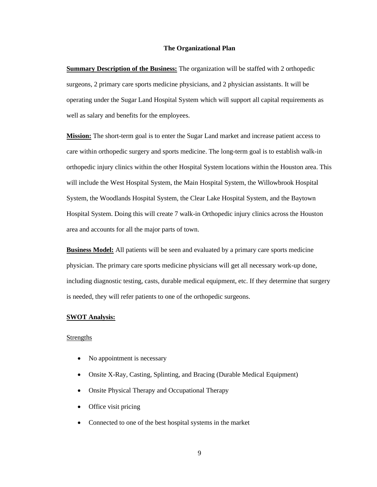### **The Organizational Plan**

**Summary Description of the Business:** The organization will be staffed with 2 orthopedic surgeons, 2 primary care sports medicine physicians, and 2 physician assistants. It will be operating under the Sugar Land Hospital System which will support all capital requirements as well as salary and benefits for the employees.

**Mission:** The short-term goal is to enter the Sugar Land market and increase patient access to care within orthopedic surgery and sports medicine. The long-term goal is to establish walk-in orthopedic injury clinics within the other Hospital System locations within the Houston area. This will include the West Hospital System, the Main Hospital System, the Willowbrook Hospital System, the Woodlands Hospital System, the Clear Lake Hospital System, and the Baytown Hospital System. Doing this will create 7 walk-in Orthopedic injury clinics across the Houston area and accounts for all the major parts of town.

**Business Model:** All patients will be seen and evaluated by a primary care sports medicine physician. The primary care sports medicine physicians will get all necessary work-up done, including diagnostic testing, casts, durable medical equipment, etc. If they determine that surgery is needed, they will refer patients to one of the orthopedic surgeons.

### **SWOT Analysis:**

### **Strengths**

- No appointment is necessary
- Onsite X-Ray, Casting, Splinting, and Bracing (Durable Medical Equipment)
- Onsite Physical Therapy and Occupational Therapy
- Office visit pricing
- Connected to one of the best hospital systems in the market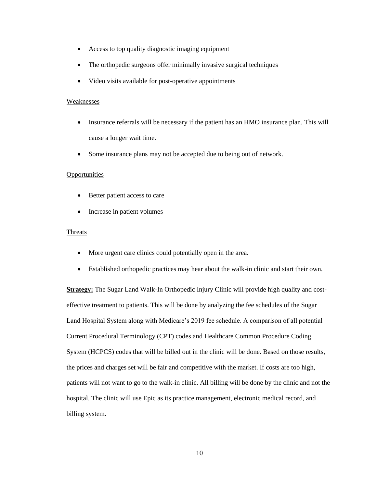- Access to top quality diagnostic imaging equipment
- The orthopedic surgeons offer minimally invasive surgical techniques
- Video visits available for post-operative appointments

### **Weaknesses**

- Insurance referrals will be necessary if the patient has an HMO insurance plan. This will cause a longer wait time.
- Some insurance plans may not be accepted due to being out of network.

### **Opportunities**

- Better patient access to care
- Increase in patient volumes

### Threats

- More urgent care clinics could potentially open in the area.
- Established orthopedic practices may hear about the walk-in clinic and start their own.

**Strategy:** The Sugar Land Walk-In Orthopedic Injury Clinic will provide high quality and costeffective treatment to patients. This will be done by analyzing the fee schedules of the Sugar Land Hospital System along with Medicare's 2019 fee schedule. A comparison of all potential Current Procedural Terminology (CPT) codes and Healthcare Common Procedure Coding System (HCPCS) codes that will be billed out in the clinic will be done. Based on those results, the prices and charges set will be fair and competitive with the market. If costs are too high, patients will not want to go to the walk-in clinic. All billing will be done by the clinic and not the hospital. The clinic will use Epic as its practice management, electronic medical record, and billing system.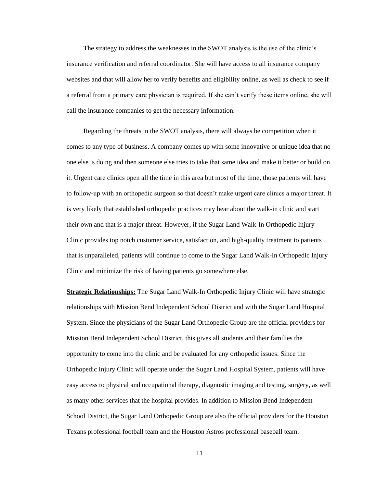The strategy to address the weaknesses in the SWOT analysis is the use of the clinic's insurance verification and referral coordinator. She will have access to all insurance company websites and that will allow her to verify benefits and eligibility online, as well as check to see if a referral from a primary care physician is required. If she can't verify these items online, she will call the insurance companies to get the necessary information.

 Regarding the threats in the SWOT analysis, there will always be competition when it comes to any type of business. A company comes up with some innovative or unique idea that no one else is doing and then someone else tries to take that same idea and make it better or build on it. Urgent care clinics open all the time in this area but most of the time, those patients will have to follow-up with an orthopedic surgeon so that doesn't make urgent care clinics a major threat. It is very likely that established orthopedic practices may hear about the walk-in clinic and start their own and that is a major threat. However, if the Sugar Land Walk-In Orthopedic Injury Clinic provides top notch customer service, satisfaction, and high-quality treatment to patients that is unparalleled, patients will continue to come to the Sugar Land Walk-In Orthopedic Injury Clinic and minimize the risk of having patients go somewhere else.

**Strategic Relationships:** The Sugar Land Walk-In Orthopedic Injury Clinic will have strategic relationships with Mission Bend Independent School District and with the Sugar Land Hospital System. Since the physicians of the Sugar Land Orthopedic Group are the official providers for Mission Bend Independent School District, this gives all students and their families the opportunity to come into the clinic and be evaluated for any orthopedic issues. Since the Orthopedic Injury Clinic will operate under the Sugar Land Hospital System, patients will have easy access to physical and occupational therapy, diagnostic imaging and testing, surgery, as well as many other services that the hospital provides. In addition to Mission Bend Independent School District, the Sugar Land Orthopedic Group are also the official providers for the Houston Texans professional football team and the Houston Astros professional baseball team.

11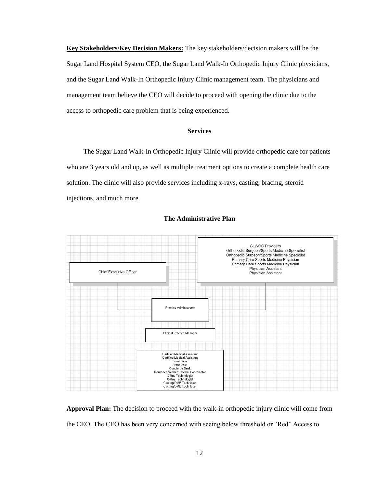**Key Stakeholders/Key Decision Makers:** The key stakeholders/decision makers will be the Sugar Land Hospital System CEO, the Sugar Land Walk-In Orthopedic Injury Clinic physicians, and the Sugar Land Walk-In Orthopedic Injury Clinic management team. The physicians and management team believe the CEO will decide to proceed with opening the clinic due to the access to orthopedic care problem that is being experienced.

### **Services**

 The Sugar Land Walk-In Orthopedic Injury Clinic will provide orthopedic care for patients who are 3 years old and up, as well as multiple treatment options to create a complete health care solution. The clinic will also provide services including x-rays, casting, bracing, steroid injections, and much more.



#### **The Administrative Plan**

**Approval Plan:** The decision to proceed with the walk-in orthopedic injury clinic will come from the CEO. The CEO has been very concerned with seeing below threshold or "Red" Access to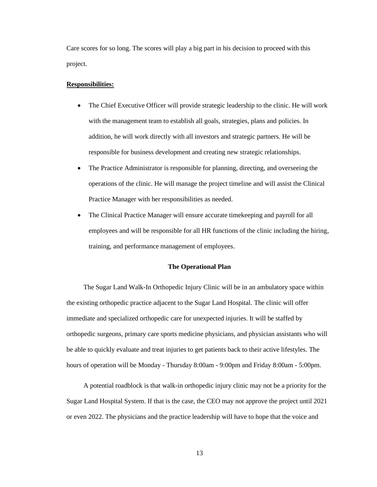Care scores for so long. The scores will play a big part in his decision to proceed with this project.

#### **Responsibilities:**

- The Chief Executive Officer will provide strategic leadership to the clinic. He will work with the management team to establish all goals, strategies, plans and policies. In addition, he will work directly with all investors and strategic partners. He will be responsible for business development and creating new strategic relationships.
- The Practice Administrator is responsible for planning, directing, and overseeing the operations of the clinic. He will manage the project timeline and will assist the Clinical Practice Manager with her responsibilities as needed.
- The Clinical Practice Manager will ensure accurate time keeping and payroll for all employees and will be responsible for all HR functions of the clinic including the hiring, training, and performance management of employees.

### **The Operational Plan**

 The Sugar Land Walk-In Orthopedic Injury Clinic will be in an ambulatory space within the existing orthopedic practice adjacent to the Sugar Land Hospital. The clinic will offer immediate and specialized orthopedic care for unexpected injuries. It will be staffed by orthopedic surgeons, primary care sports medicine physicians, and physician assistants who will be able to quickly evaluate and treat injuries to get patients back to their active lifestyles. The hours of operation will be Monday - Thursday 8:00am - 9:00pm and Friday 8:00am - 5:00pm.

 A potential roadblock is that walk-in orthopedic injury clinic may not be a priority for the Sugar Land Hospital System. If that is the case, the CEO may not approve the project until 2021 or even 2022. The physicians and the practice leadership will have to hope that the voice and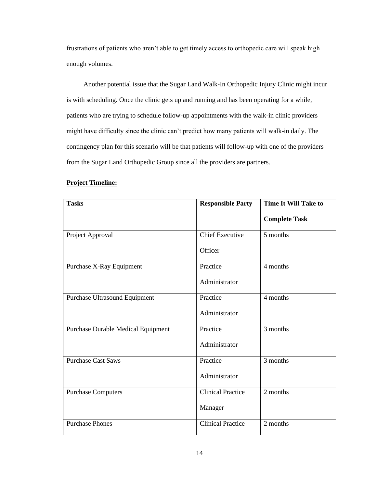frustrations of patients who aren't able to get timely access to orthopedic care will speak high enough volumes.

 Another potential issue that the Sugar Land Walk-In Orthopedic Injury Clinic might incur is with scheduling. Once the clinic gets up and running and has been operating for a while, patients who are trying to schedule follow-up appointments with the walk-in clinic providers might have difficulty since the clinic can't predict how many patients will walk-in daily. The contingency plan for this scenario will be that patients will follow-up with one of the providers from the Sugar Land Orthopedic Group since all the providers are partners.

| <b>Tasks</b>                              | <b>Responsible Party</b> | Time It Will Take to |
|-------------------------------------------|--------------------------|----------------------|
|                                           |                          | <b>Complete Task</b> |
| Project Approval                          | <b>Chief Executive</b>   | 5 months             |
|                                           | Officer                  |                      |
| Purchase X-Ray Equipment                  | Practice                 | 4 months             |
|                                           | Administrator            |                      |
| Purchase Ultrasound Equipment             | Practice                 | 4 months             |
|                                           | Administrator            |                      |
| <b>Purchase Durable Medical Equipment</b> | Practice                 | 3 months             |
|                                           | Administrator            |                      |
| <b>Purchase Cast Saws</b>                 | Practice                 | 3 months             |
|                                           | Administrator            |                      |
| <b>Purchase Computers</b>                 | <b>Clinical Practice</b> | 2 months             |
|                                           | Manager                  |                      |
| <b>Purchase Phones</b>                    | <b>Clinical Practice</b> | 2 months             |

### **Project Timeline:**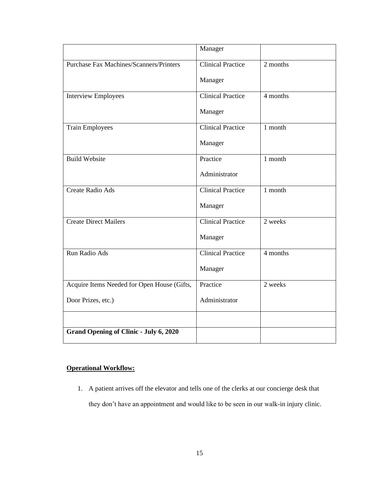|                                                | Manager                  |          |
|------------------------------------------------|--------------------------|----------|
| <b>Purchase Fax Machines/Scanners/Printers</b> | <b>Clinical Practice</b> | 2 months |
|                                                | Manager                  |          |
| <b>Interview Employees</b>                     | <b>Clinical Practice</b> | 4 months |
|                                                | Manager                  |          |
| <b>Train Employees</b>                         | <b>Clinical Practice</b> | 1 month  |
|                                                | Manager                  |          |
| <b>Build Website</b>                           | Practice                 | 1 month  |
|                                                | Administrator            |          |
| <b>Create Radio Ads</b>                        | <b>Clinical Practice</b> | 1 month  |
|                                                | Manager                  |          |
| <b>Create Direct Mailers</b>                   | <b>Clinical Practice</b> | 2 weeks  |
|                                                | Manager                  |          |
| Run Radio Ads                                  | <b>Clinical Practice</b> | 4 months |
|                                                | Manager                  |          |
| Acquire Items Needed for Open House (Gifts,    | Practice                 | 2 weeks  |
| Door Prizes, etc.)                             | Administrator            |          |
|                                                |                          |          |
| <b>Grand Opening of Clinic - July 6, 2020</b>  |                          |          |

### **Operational Workflow:**

1. A patient arrives off the elevator and tells one of the clerks at our concierge desk that they don't have an appointment and would like to be seen in our walk-in injury clinic.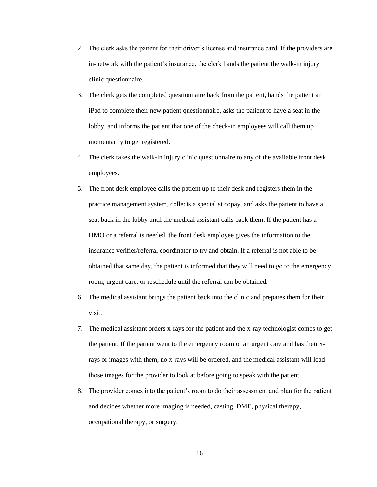- 2. The clerk asks the patient for their driver's license and insurance card. If the providers are in-network with the patient's insurance, the clerk hands the patient the walk-in injury clinic questionnaire.
- 3. The clerk gets the completed questionnaire back from the patient, hands the patient an iPad to complete their new patient questionnaire, asks the patient to have a seat in the lobby, and informs the patient that one of the check-in employees will call them up momentarily to get registered.
- 4. The clerk takes the walk-in injury clinic questionnaire to any of the available front desk employees.
- 5. The front desk employee calls the patient up to their desk and registers them in the practice management system, collects a specialist copay, and asks the patient to have a seat back in the lobby until the medical assistant calls back them. If the patient has a HMO or a referral is needed, the front desk employee gives the information to the insurance verifier/referral coordinator to try and obtain. If a referral is not able to be obtained that same day, the patient is informed that they will need to go to the emergency room, urgent care, or reschedule until the referral can be obtained.
- 6. The medical assistant brings the patient back into the clinic and prepares them for their visit.
- 7. The medical assistant orders x-rays for the patient and the x-ray technologist comes to get the patient. If the patient went to the emergency room or an urgent care and has their xrays or images with them, no x-rays will be ordered, and the medical assistant will load those images for the provider to look at before going to speak with the patient.
- 8. The provider comes into the patient's room to do their assessment and plan for the patient and decides whether more imaging is needed, casting, DME, physical therapy, occupational therapy, or surgery.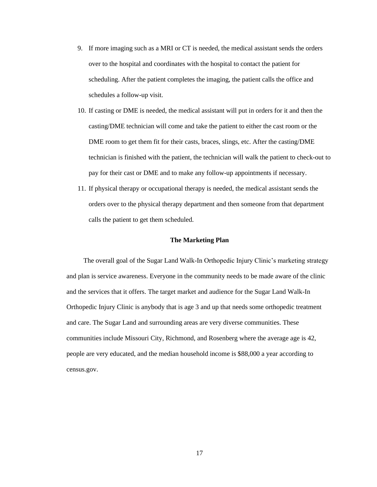- 9. If more imaging such as a MRI or CT is needed, the medical assistant sends the orders over to the hospital and coordinates with the hospital to contact the patient for scheduling. After the patient completes the imaging, the patient calls the office and schedules a follow-up visit.
- 10. If casting or DME is needed, the medical assistant will put in orders for it and then the casting/DME technician will come and take the patient to either the cast room or the DME room to get them fit for their casts, braces, slings, etc. After the casting/DME technician is finished with the patient, the technician will walk the patient to check-out to pay for their cast or DME and to make any follow-up appointments if necessary.
- 11. If physical therapy or occupational therapy is needed, the medical assistant sends the orders over to the physical therapy department and then someone from that department calls the patient to get them scheduled.

### **The Marketing Plan**

 The overall goal of the Sugar Land Walk-In Orthopedic Injury Clinic's marketing strategy and plan is service awareness. Everyone in the community needs to be made aware of the clinic and the services that it offers. The target market and audience for the Sugar Land Walk-In Orthopedic Injury Clinic is anybody that is age 3 and up that needs some orthopedic treatment and care. The Sugar Land and surrounding areas are very diverse communities. These communities include Missouri City, Richmond, and Rosenberg where the average age is 42, people are very educated, and the median household income is \$88,000 a year according to census.gov.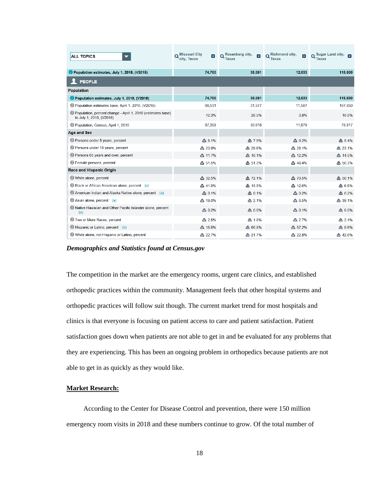| <b>ALL TOPICS</b>                                                                       | <b>Missouri City</b><br>$\vert \mathbf{x} \vert$<br>city. Texas | Rosenberg city,<br>Texas | Richmond city,<br>∣x<br>Texas | Sugar Land city,<br>$\overline{\mathbf{x}}$<br>Texas |
|-----------------------------------------------------------------------------------------|-----------------------------------------------------------------|--------------------------|-------------------------------|------------------------------------------------------|
| Population estimates, July 1, 2018, (V2018)                                             | 74,705                                                          | 38,061                   | 12,033                        | 118,600                                              |
| <b>PEOPLE</b>                                                                           |                                                                 |                          |                               |                                                      |
| Population                                                                              |                                                                 |                          |                               |                                                      |
| Population estimates, July 1, 2018, (V2018)                                             | 74,705                                                          | 38,061                   | 12,033                        | 118,600                                              |
| Population estimates base, April 1, 2010, (V2018)                                       | 66,531                                                          | 31,577                   | 11,587                        | 107,850                                              |
| Population, percent change - April 1, 2010 (estimates base)<br>to July 1, 2018, (V2018) | 12.3%                                                           | 20.5%                    | 3.8%                          | 10.0%                                                |
| Population, Census, April 1, 2010                                                       | 67,358                                                          | 30.618                   | 11,679                        | 78.817                                               |
| Age and Sex                                                                             |                                                                 |                          |                               |                                                      |
| Persons under 5 years, percent                                                          | $\triangle$ 6.1%                                                | △ 7.9%                   | $\triangle$ 8.2%              | $\triangle$ 5.4%                                     |
| Persons under 18 years, percent                                                         | △ 23.9%                                                         | △ 29.6%                  | △ 26.1%                       | △ 23.1%                                              |
| Persons 65 years and over, percent                                                      | △ 11.7%                                                         | △ 10.1%                  | △ 12.2%                       | △ 14.5%                                              |
| <b>B</b> Female persons, percent                                                        | △ 51.5%                                                         | △ 51.3%                  | △ 48.4%                       | △ 50.3%                                              |
| Race and Hispanic Origin                                                                |                                                                 |                          |                               |                                                      |
| White alone, percent                                                                    | △ 32.5%                                                         | △ 72.1%                  | △ 70.5%                       | △ 50.1%                                              |
| Black or African American alone, percent (a)                                            | △ 41.9%                                                         | △ 15.5%                  | △ 12.6%                       | △ 6.6%                                               |
| American Indian and Alaska Native alone, percent (a)                                    | $\triangle$ 0.1%                                                | $\triangle$ 0.1%         | △ 0.2%                        | △ 0.2%                                               |
| Asian alone, percent (a)                                                                | △ 18.0%                                                         | △ 2.1%                   | $\triangle$ 6.5%              | △ 39.1%                                              |
| Native Hawaiian and Other Pacific Islander alone, percent<br>(a)                        | $\triangle$ 0.2%                                                | $\triangle$ 0.0%         | $\triangle$ 0.1%              | $\triangle$ 0.0%                                     |
| Two or More Races, percent                                                              | △ 2.5%                                                          | △ 1.8%                   | △ 2.7%                        | $\triangle$ 2.4%                                     |
| Hispanic or Latino, percent (b)                                                         | △ 15.5%                                                         | △ 60.8%                  | △ 57.2%                       | △ 9.6%                                               |
| White alone, not Hispanic or Latino, percent                                            | △ 22.7%                                                         | △ 21.7%                  | △ 22.8%                       | △ 42.6%                                              |

*Demographics and Statistics found at Census.gov*

The competition in the market are the emergency rooms, urgent care clinics, and established orthopedic practices within the community. Management feels that other hospital systems and orthopedic practices will follow suit though. The current market trend for most hospitals and clinics is that everyone is focusing on patient access to care and patient satisfaction. Patient satisfaction goes down when patients are not able to get in and be evaluated for any problems that they are experiencing. This has been an ongoing problem in orthopedics because patients are not able to get in as quickly as they would like.

### **Market Research:**

 According to the Center for Disease Control and prevention, there were 150 million emergency room visits in 2018 and these numbers continue to grow. Of the total number of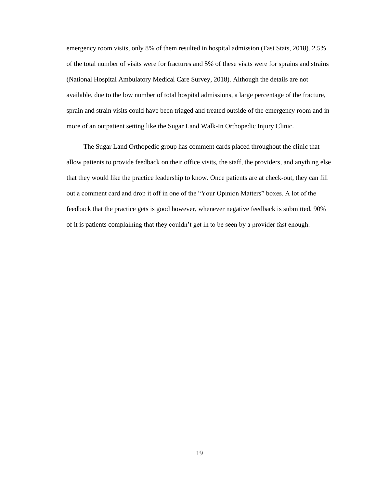emergency room visits, only 8% of them resulted in hospital admission (Fast Stats, 2018). 2.5% of the total number of visits were for fractures and 5% of these visits were for sprains and strains (National Hospital Ambulatory Medical Care Survey, 2018). Although the details are not available, due to the low number of total hospital admissions, a large percentage of the fracture, sprain and strain visits could have been triaged and treated outside of the emergency room and in more of an outpatient setting like the Sugar Land Walk-In Orthopedic Injury Clinic.

 The Sugar Land Orthopedic group has comment cards placed throughout the clinic that allow patients to provide feedback on their office visits, the staff, the providers, and anything else that they would like the practice leadership to know. Once patients are at check-out, they can fill out a comment card and drop it off in one of the "Your Opinion Matters" boxes. A lot of the feedback that the practice gets is good however, whenever negative feedback is submitted, 90% of it is patients complaining that they couldn't get in to be seen by a provider fast enough.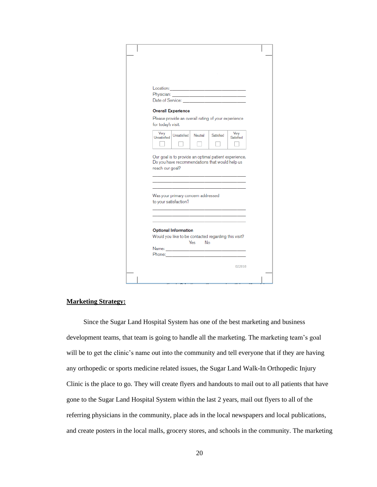| <b>Overall Experience</b>                                                                                                                 |
|-------------------------------------------------------------------------------------------------------------------------------------------|
| Please provide an overall rating of your experience<br>for today's visit.                                                                 |
| Very<br>Very<br>Unsatisfied Neutral<br>Satisfied<br>Unsatisfied<br>Satisfied                                                              |
| Our goal is to provide an optimal patient experience.<br>Do you have recommendations that would help us<br>reach our goal?                |
| Was your primary concern addressed<br>to your satisfaction?<br>the control of the control of the control of the control of the control of |
| <b>Optional Information</b><br>Would you like to be contacted regarding this visit?<br>Yes No                                             |
|                                                                                                                                           |
|                                                                                                                                           |
|                                                                                                                                           |

### **Marketing Strategy:**

 Since the Sugar Land Hospital System has one of the best marketing and business development teams, that team is going to handle all the marketing. The marketing team's goal will be to get the clinic's name out into the community and tell everyone that if they are having any orthopedic or sports medicine related issues, the Sugar Land Walk-In Orthopedic Injury Clinic is the place to go. They will create flyers and handouts to mail out to all patients that have gone to the Sugar Land Hospital System within the last 2 years, mail out flyers to all of the referring physicians in the community, place ads in the local newspapers and local publications, and create posters in the local malls, grocery stores, and schools in the community. The marketing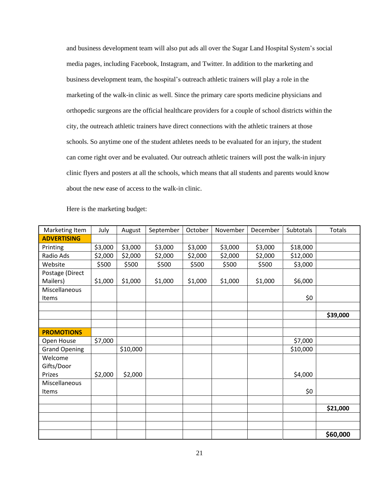and business development team will also put ads all over the Sugar Land Hospital System's social media pages, including Facebook, Instagram, and Twitter. In addition to the marketing and business development team, the hospital's outreach athletic trainers will play a role in the marketing of the walk-in clinic as well. Since the primary care sports medicine physicians and orthopedic surgeons are the official healthcare providers for a couple of school districts within the city, the outreach athletic trainers have direct connections with the athletic trainers at those schools. So anytime one of the student athletes needs to be evaluated for an injury, the student can come right over and be evaluated. Our outreach athletic trainers will post the walk-in injury clinic flyers and posters at all the schools, which means that all students and parents would know about the new ease of access to the walk-in clinic.

| Marketing Item       | July    | August   | September | October | November | December | Subtotals | Totals   |
|----------------------|---------|----------|-----------|---------|----------|----------|-----------|----------|
| <b>ADVERTISING</b>   |         |          |           |         |          |          |           |          |
| Printing             | \$3,000 | \$3,000  | \$3,000   | \$3,000 | \$3,000  | \$3,000  | \$18,000  |          |
| Radio Ads            | \$2,000 | \$2,000  | \$2,000   | \$2,000 | \$2,000  | \$2,000  | \$12,000  |          |
| Website              | \$500   | \$500    | \$500     | \$500   | \$500    | \$500    | \$3,000   |          |
| Postage (Direct      |         |          |           |         |          |          |           |          |
| Mailers)             | \$1,000 | \$1,000  | \$1,000   | \$1,000 | \$1,000  | \$1,000  | \$6,000   |          |
| Miscellaneous        |         |          |           |         |          |          |           |          |
| Items                |         |          |           |         |          |          | \$0       |          |
|                      |         |          |           |         |          |          |           |          |
|                      |         |          |           |         |          |          |           | \$39,000 |
|                      |         |          |           |         |          |          |           |          |
| <b>PROMOTIONS</b>    |         |          |           |         |          |          |           |          |
| Open House           | \$7,000 |          |           |         |          |          | \$7,000   |          |
| <b>Grand Opening</b> |         | \$10,000 |           |         |          |          | \$10,000  |          |
| Welcome              |         |          |           |         |          |          |           |          |
| Gifts/Door           |         |          |           |         |          |          |           |          |
| Prizes               | \$2,000 | \$2,000  |           |         |          |          | \$4,000   |          |
| Miscellaneous        |         |          |           |         |          |          |           |          |
| Items                |         |          |           |         |          |          | \$0       |          |
|                      |         |          |           |         |          |          |           |          |
|                      |         |          |           |         |          |          |           | \$21,000 |
|                      |         |          |           |         |          |          |           |          |
|                      |         |          |           |         |          |          |           |          |
|                      |         |          |           |         |          |          |           | \$60,000 |

Here is the marketing budget: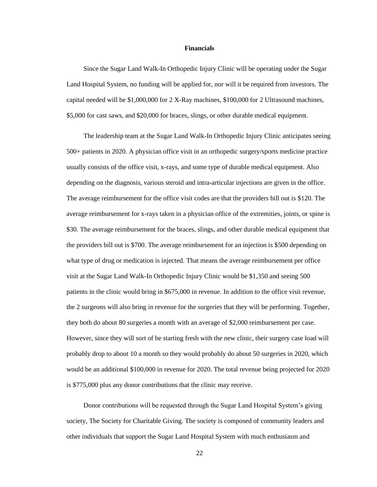#### **Financials**

Since the Sugar Land Walk-In Orthopedic Injury Clinic will be operating under the Sugar Land Hospital System, no funding will be applied for, nor will it be required from investors. The capital needed will be \$1,000,000 for 2 X-Ray machines, \$100,000 for 2 Ultrasound machines, \$5,000 for cast saws, and \$20,000 for braces, slings, or other durable medical equipment.

 The leadership team at the Sugar Land Walk-In Orthopedic Injury Clinic anticipates seeing 500+ patients in 2020. A physician office visit in an orthopedic surgery/sports medicine practice usually consists of the office visit, x-rays, and some type of durable medical equipment. Also depending on the diagnosis, various steroid and intra-articular injections are given in the office. The average reimbursement for the office visit codes are that the providers bill out is \$120. The average reimbursement for x-rays taken in a physician office of the extremities, joints, or spine is \$30. The average reimbursement for the braces, slings, and other durable medical equipment that the providers bill out is \$700. The average reimbursement for an injection is \$500 depending on what type of drug or medication is injected. That means the average reimbursement per office visit at the Sugar Land Walk-In Orthopedic Injury Clinic would be \$1,350 and seeing 500 patients in the clinic would bring in \$675,000 in revenue. In addition to the office visit revenue, the 2 surgeons will also bring in revenue for the surgeries that they will be performing. Together, they both do about 80 surgeries a month with an average of \$2,000 reimbursement per case. However, since they will sort of be starting fresh with the new clinic, their surgery case load will probably drop to about 10 a month so they would probably do about 50 surgeries in 2020, which would be an additional \$100,000 in revenue for 2020. The total revenue being projected for 2020 is \$775,000 plus any donor contributions that the clinic may receive.

 Donor contributions will be requested through the Sugar Land Hospital System's giving society, The Society for Charitable Giving. The society is composed of community leaders and other individuals that support the Sugar Land Hospital System with much enthusiasm and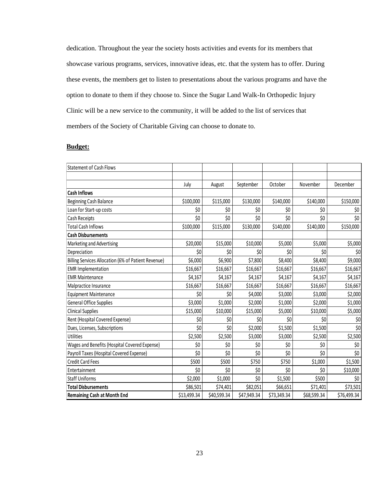dedication. Throughout the year the society hosts activities and events for its members that showcase various programs, services, innovative ideas, etc. that the system has to offer. During these events, the members get to listen to presentations about the various programs and have the option to donate to them if they choose to. Since the Sugar Land Walk-In Orthopedic Injury Clinic will be a new service to the community, it will be added to the list of services that members of the Society of Charitable Giving can choose to donate to.

### **Budget:**

| <b>Statement of Cash Flows</b>                      |             |             |             |             |             |             |
|-----------------------------------------------------|-------------|-------------|-------------|-------------|-------------|-------------|
|                                                     |             |             |             |             |             |             |
|                                                     | July        | August      | September   | October     | November    | December    |
| <b>Cash Inflows</b>                                 |             |             |             |             |             |             |
| Beginning Cash Balance                              | \$100,000   | \$115,000   | \$130,000   | \$140,000   | \$140,000   | \$150,000   |
| Loan for Start-up costs                             | \$0         | \$0         | \$0         | \$0         | \$0         | \$0         |
| Cash Receipts                                       | \$0         | \$0         | \$0         | \$0         | \$0         | \$0         |
| <b>Total Cash Inflows</b>                           | \$100,000   | \$115,000   | \$130,000   | \$140,000   | \$140,000   | \$150,000   |
| <b>Cash Disbursements</b>                           |             |             |             |             |             |             |
| Marketing and Advertising                           | \$20,000    | \$15,000    | \$10,000    | \$5,000     | \$5,000     | \$5,000     |
| Depreciation                                        | \$0         | \$0         | \$0         | \$0         | \$0         | \$0         |
| Billing Services Allocation (6% of Patient Revenue) | \$6,000     | \$6,900     | \$7,800     | \$8,400     | \$8,400     | \$9,000     |
| <b>EMR Implementation</b>                           | \$16,667    | \$16,667    | \$16,667    | \$16,667    | \$16,667    | \$16,667    |
| <b>EMR Maintenance</b>                              | \$4,167     | \$4,167     | \$4,167     | \$4,167     | \$4,167     | \$4,167     |
| Malpractice Insurance                               | \$16,667    | \$16,667    | \$16,667    | \$16,667    | \$16,667    | \$16,667    |
| <b>Equipment Maintenance</b>                        | \$0         | \$0         | \$4,000     | \$3,000     | \$3,000     | \$2,000     |
| <b>General Office Supplies</b>                      | \$3,000     | \$1,000     | \$2,000     | \$1,000     | \$2,000     | \$1,000     |
| <b>Clinical Supplies</b>                            | \$15,000    | \$10,000    | \$15,000    | \$5,000     | \$10,000    | \$5,000     |
| Rent (Hospital Covered Expense)                     | \$0         | \$0         | \$0         | \$0         | \$0         | \$0         |
| Dues, Licenses, Subscriptions                       | \$0         | \$0         | \$2,000     | \$1,500     | \$1,500     | \$0         |
| Utilities                                           | \$2,500     | \$2,500     | \$3,000     | \$3,000     | \$2,500     | \$2,500     |
| Wages and Benefits (Hospital Covered Expense)       | \$0         | \$0         | \$0         | \$0         | \$0         | \$0         |
| Payroll Taxes (Hospital Covered Expense)            | \$0         | \$0         | \$0         | \$0         | \$0         | \$0         |
| <b>Credit Card Fees</b>                             | \$500       | \$500       | \$750       | \$750       | \$1,000     | \$1,500     |
| Entertainment                                       | \$0         | \$0         | \$0         | \$0         | \$0         | \$10,000    |
| <b>Staff Uniforms</b>                               | \$2,000     | \$1,000     | \$0         | \$1,500     | \$500       | \$0         |
| <b>Total Disbursements</b>                          | \$86,501    | \$74,401    | \$82,051    | \$66,651    | \$71,401    | \$73,501    |
| <b>Remaining Cash at Month End</b>                  | \$13,499.34 | \$40,599.34 | \$47,949.34 | \$73,349.34 | \$68,599.34 | \$76,499.34 |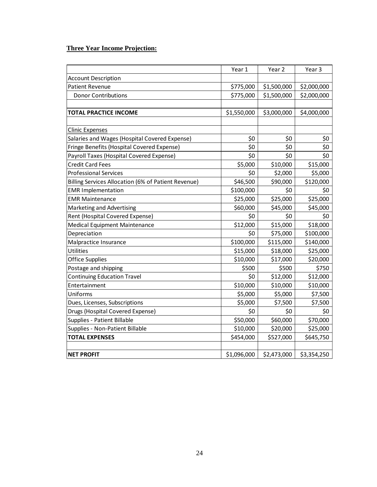### **Three Year Income Projection:**

|                                                     | Year 1      | Year <sub>2</sub> | Year 3      |
|-----------------------------------------------------|-------------|-------------------|-------------|
| <b>Account Description</b>                          |             |                   |             |
| <b>Patient Revenue</b>                              | \$775,000   | \$1,500,000       | \$2,000,000 |
| <b>Donor Contributions</b>                          | \$775,000   | \$1,500,000       | \$2,000,000 |
|                                                     |             |                   |             |
| TOTAL PRACTICE INCOME                               | \$1,550,000 | \$3,000,000       | \$4,000,000 |
|                                                     |             |                   |             |
| <b>Clinic Expenses</b>                              |             |                   |             |
| Salaries and Wages (Hospital Covered Expense)       | \$0         | \$0               | \$0         |
| Fringe Benefits (Hospital Covered Expense)          | \$0         | \$0               | \$0         |
| Payroll Taxes (Hospital Covered Expense)            | \$0         | \$0               | \$0         |
| <b>Credit Card Fees</b>                             | \$5,000     | \$10,000          | \$15,000    |
| <b>Professional Services</b>                        | \$0         | \$2,000           | \$5,000     |
| Billing Services Allocation (6% of Patient Revenue) | \$46,500    | \$90,000          | \$120,000   |
| <b>EMR Implementation</b>                           | \$100,000   | \$0               | \$0         |
| <b>EMR Maintenance</b>                              | \$25,000    | \$25,000          | \$25,000    |
| Marketing and Advertising                           | \$60,000    | \$45,000          | \$45,000    |
| Rent (Hospital Covered Expense)                     | \$0         | \$0               | \$0         |
| <b>Medical Equipment Maintenance</b>                | \$12,000    | \$15,000          | \$18,000    |
| Depreciation                                        | \$0         | \$75,000          | \$100,000   |
| Malpractice Insurance                               | \$100,000   | \$115,000         | \$140,000   |
| Utilities                                           | \$15,000    | \$18,000          | \$25,000    |
| <b>Office Supplies</b>                              | \$10,000    | \$17,000          | \$20,000    |
| Postage and shipping                                | \$500       | \$500             | \$750       |
| <b>Continuing Education Travel</b>                  | \$0         | \$12,000          | \$12,000    |
| Entertainment                                       | \$10,000    | \$10,000          | \$10,000    |
| Uniforms                                            | \$5,000     | \$5,000           | \$7,500     |
| Dues, Licenses, Subscriptions                       | \$5,000     | \$7,500           | \$7,500     |
| Drugs (Hospital Covered Expense)                    | \$0         | \$0               | \$0         |
| Supplies - Patient Billable                         | \$50,000    | \$60,000          | \$70,000    |
| Supplies - Non-Patient Billable                     | \$10,000    | \$20,000          | \$25,000    |
| <b>TOTAL EXPENSES</b>                               | \$454,000   | \$527,000         | \$645,750   |
|                                                     |             |                   |             |
| <b>NET PROFIT</b>                                   | \$1,096,000 | \$2,473,000       | \$3,354,250 |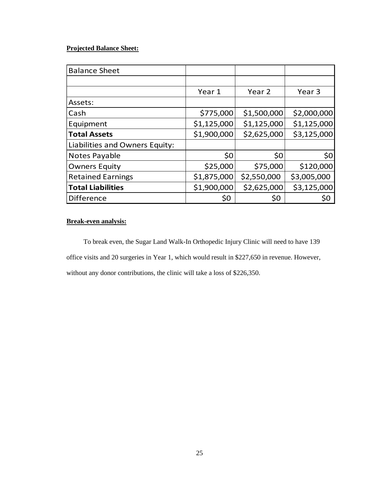### **Projected Balance Sheet:**

| <b>Balance Sheet</b>           |             |                   |                   |
|--------------------------------|-------------|-------------------|-------------------|
|                                |             |                   |                   |
|                                | Year 1      | Year <sub>2</sub> | Year <sub>3</sub> |
| Assets:                        |             |                   |                   |
| Cash                           | \$775,000   | \$1,500,000       | \$2,000,000       |
| Equipment                      | \$1,125,000 | \$1,125,000       | \$1,125,000       |
| <b>Total Assets</b>            | \$1,900,000 | \$2,625,000       | \$3,125,000       |
| Liabilities and Owners Equity: |             |                   |                   |
| Notes Payable                  | \$0         | \$0               | 50 <sub>l</sub>   |
| <b>Owners Equity</b>           | \$25,000    | \$75,000          | \$120,000         |
| <b>Retained Earnings</b>       | \$1,875,000 | \$2,550,000       | \$3,005,000       |
| <b>Total Liabilities</b>       | \$1,900,000 | \$2,625,000       | \$3,125,000       |
| <b>Difference</b>              | \$0         | \$0               | \$0               |

### **Break-even analysis:**

 To break even, the Sugar Land Walk-In Orthopedic Injury Clinic will need to have 139 office visits and 20 surgeries in Year 1, which would result in \$227,650 in revenue. However, without any donor contributions, the clinic will take a loss of \$226,350.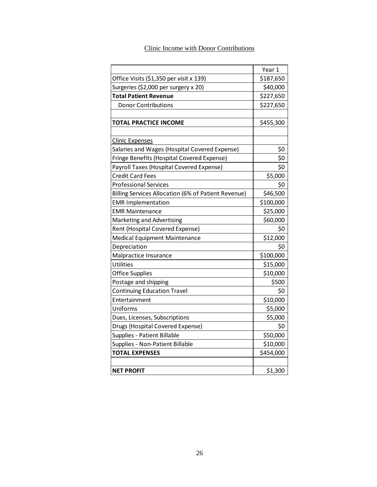### Clinic Income with Donor Contributions

|                                                     | Year 1    |
|-----------------------------------------------------|-----------|
| Office Visits (\$1,350 per visit x 139)             | \$187,650 |
| Surgeries (\$2,000 per surgery x 20)                | \$40,000  |
| <b>Total Patient Revenue</b>                        | \$227,650 |
| <b>Donor Contributions</b>                          | \$227,650 |
|                                                     |           |
| TOTAL PRACTICE INCOME                               | \$455,300 |
|                                                     |           |
| Clinic Expenses                                     |           |
| Salaries and Wages (Hospital Covered Expense)       | \$0       |
| Fringe Benefits (Hospital Covered Expense)          | \$0       |
| Payroll Taxes (Hospital Covered Expense)            | \$0       |
| <b>Credit Card Fees</b>                             | \$5,000   |
| <b>Professional Services</b>                        | \$0       |
| Billing Services Allocation (6% of Patient Revenue) | \$46,500  |
| <b>EMR Implementation</b>                           | \$100,000 |
| <b>EMR Maintenance</b>                              | \$25,000  |
| Marketing and Advertising                           | \$60,000  |
| Rent (Hospital Covered Expense)                     | \$0       |
| Medical Equipment Maintenance                       | \$12,000  |
| Depreciation                                        | \$0       |
| Malpractice Insurance                               | \$100,000 |
| Utilities                                           | \$15,000  |
| <b>Office Supplies</b>                              | \$10,000  |
| Postage and shipping                                | \$500     |
| <b>Continuing Education Travel</b>                  | \$0       |
| Entertainment                                       | \$10,000  |
| Uniforms                                            | \$5,000   |
| Dues, Licenses, Subscriptions                       | \$5,000   |
| Drugs (Hospital Covered Expense)                    | \$0       |
| Supplies - Patient Billable                         | \$50,000  |
| Supplies - Non-Patient Billable                     | \$10,000  |
| <b>TOTAL EXPENSES</b>                               | \$454,000 |
|                                                     |           |
| <b>NET PROFIT</b>                                   | \$1,300   |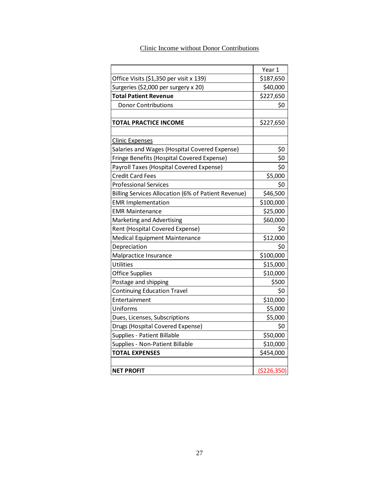# Clinic Income without Donor Contributions

|                                                     | Year 1        |
|-----------------------------------------------------|---------------|
| Office Visits (\$1,350 per visit x 139)             | \$187,650     |
| Surgeries (\$2,000 per surgery x 20)                | \$40,000      |
| <b>Total Patient Revenue</b>                        | \$227,650     |
| <b>Donor Contributions</b>                          | \$0           |
|                                                     |               |
| TOTAL PRACTICE INCOME                               | \$227,650     |
|                                                     |               |
| <b>Clinic Expenses</b>                              |               |
| Salaries and Wages (Hospital Covered Expense)       | \$0           |
| Fringe Benefits (Hospital Covered Expense)          | \$0           |
| Payroll Taxes (Hospital Covered Expense)            | \$0           |
| <b>Credit Card Fees</b>                             | \$5,000       |
| <b>Professional Services</b>                        | \$0           |
| Billing Services Allocation (6% of Patient Revenue) | \$46,500      |
| <b>EMR Implementation</b>                           | \$100,000     |
| EMR Maintenance                                     | \$25,000      |
| Marketing and Advertising                           | \$60,000      |
| Rent (Hospital Covered Expense)                     | \$0           |
| <b>Medical Equipment Maintenance</b>                | \$12,000      |
| Depreciation                                        | \$0           |
| Malpractice Insurance                               | \$100,000     |
| Utilities                                           | \$15,000      |
| <b>Office Supplies</b>                              | \$10,000      |
| Postage and shipping                                | \$500         |
| <b>Continuing Education Travel</b>                  | \$0           |
| Entertainment                                       | \$10,000      |
| Uniforms                                            | \$5,000       |
| Dues, Licenses, Subscriptions                       | \$5,000       |
| Drugs (Hospital Covered Expense)                    | \$0           |
| Supplies - Patient Billable                         | \$50,000      |
| Supplies - Non-Patient Billable                     | \$10,000      |
| <b>TOTAL EXPENSES</b>                               | \$454,000     |
|                                                     |               |
| <b>NET PROFIT</b>                                   | ( \$226, 350) |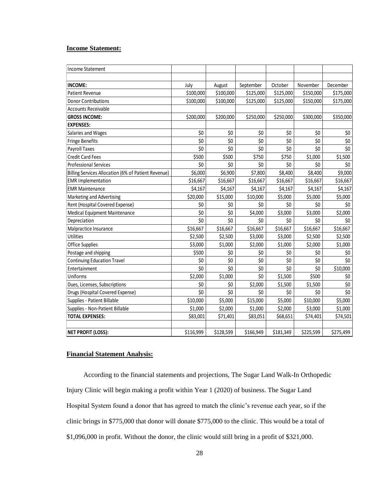### **Income Statement:**

| <b>Income Statement</b>                             |           |           |           |           |           |           |
|-----------------------------------------------------|-----------|-----------|-----------|-----------|-----------|-----------|
|                                                     |           |           |           |           |           |           |
| <b>INCOME:</b>                                      | July      | August    | September | October   | November  | December  |
| <b>Patient Revenue</b>                              | \$100,000 | \$100,000 | \$125,000 | \$125,000 | \$150,000 | \$175,000 |
| <b>Donor Contributions</b>                          | \$100,000 | \$100,000 | \$125,000 | \$125,000 | \$150,000 | \$175,000 |
| Accounts Receivable                                 |           |           |           |           |           |           |
| <b>GROSS INCOME:</b>                                | \$200,000 | \$200,000 | \$250,000 | \$250,000 | \$300,000 | \$350,000 |
| <b>EXPENSES:</b>                                    |           |           |           |           |           |           |
| Salaries and Wages                                  | \$0       | \$0       | \$0       | \$0       | \$0       | \$0       |
| <b>Fringe Benefits</b>                              | \$0       | \$0       | \$0       | \$0       | \$0       | \$0       |
| Payroll Taxes                                       | \$0       | \$0       | \$0       | \$0       | \$0       | \$0       |
| <b>Credit Card Fees</b>                             | \$500     | \$500     | \$750     | \$750     | \$1,000   | \$1,500   |
| <b>Professional Services</b>                        | \$0       | \$0       | \$0       | \$0       | \$0       | \$0       |
| Billing Services Allocation (6% of Patient Revenue) | \$6,000   | \$6,900   | \$7,800   | \$8,400   | \$8,400   | \$9,000   |
| <b>EMR Implementation</b>                           | \$16,667  | \$16,667  | \$16,667  | \$16,667  | \$16,667  | \$16,667  |
| <b>EMR Maintenance</b>                              | \$4,167   | \$4,167   | \$4,167   | \$4,167   | \$4,167   | \$4,167   |
| Marketing and Advertising                           | \$20,000  | \$15,000  | \$10,000  | \$5,000   | \$5,000   | \$5,000   |
| Rent (Hospital Covered Expense)                     | \$0       | \$0       | \$0       | \$0       | \$0       | \$0       |
| Medical Equipment Maintenance                       | \$0       | \$0       | \$4,000   | \$3,000   | \$3,000   | \$2,000   |
| Depreciation                                        | \$0       | \$0       | \$0       | \$0       | \$0       | \$0       |
| Malpractice Insurance                               | \$16,667  | \$16,667  | \$16,667  | \$16,667  | \$16,667  | \$16,667  |
| Utilities                                           | \$2,500   | \$2,500   | \$3,000   | \$3,000   | \$2,500   | \$2,500   |
| <b>Office Supplies</b>                              | \$3,000   | \$1,000   | \$2,000   | \$1,000   | \$2,000   | \$1,000   |
| Postage and shipping                                | \$500     | \$0       | \$0       | \$0       | \$0       | \$0       |
| <b>Continuing Education Travel</b>                  | \$0       | \$0       | \$0       | \$0       | \$0       | \$0       |
| Entertainment                                       | \$0       | \$0       | \$0       | \$0       | \$0       | \$10,000  |
| Uniforms                                            | \$2,000   | \$1,000   | \$0       | \$1,500   | \$500     | \$0       |
| Dues, Licenses, Subscriptions                       | \$0       | \$0       | \$2,000   | \$1,500   | \$1,500   | \$0       |
| Drugs (Hospital Covered Expense)                    | \$0       | \$0       | \$0       | \$0       | \$0       | \$0       |
| Supplies - Patient Billable                         | \$10,000  | \$5,000   | \$15,000  | \$5,000   | \$10,000  | \$5,000   |
| Supplies - Non-Patient Billable                     | \$1,000   | \$2,000   | \$1,000   | \$2,000   | \$3,000   | \$1,000   |
| <b>TOTAL EXPENSES:</b>                              | \$83,001  | \$71,401  | \$83,051  | \$68,651  | \$74,401  | \$74,501  |
|                                                     |           |           |           |           |           |           |
| <b>NET PROFIT (LOSS):</b>                           | \$116,999 | \$128,599 | \$166,949 | \$181,349 | \$225,599 | \$275,499 |

### **Financial Statement Analysis:**

 According to the financial statements and projections, The Sugar Land Walk-In Orthopedic Injury Clinic will begin making a profit within Year 1 (2020) of business. The Sugar Land Hospital System found a donor that has agreed to match the clinic's revenue each year, so if the clinic brings in \$775,000 that donor will donate \$775,000 to the clinic. This would be a total of \$1,096,000 in profit. Without the donor, the clinic would still bring in a profit of \$321,000.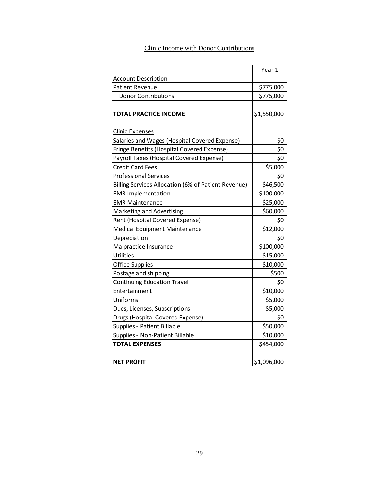### Clinic Income with Donor Contributions

|                                                     | Year 1      |
|-----------------------------------------------------|-------------|
| <b>Account Description</b>                          |             |
| <b>Patient Revenue</b>                              | \$775,000   |
| <b>Donor Contributions</b>                          | \$775,000   |
|                                                     |             |
| <b>TOTAL PRACTICE INCOME</b>                        | \$1,550,000 |
|                                                     |             |
| <b>Clinic Expenses</b>                              |             |
| Salaries and Wages (Hospital Covered Expense)       | \$0         |
| Fringe Benefits (Hospital Covered Expense)          | \$0         |
| Payroll Taxes (Hospital Covered Expense)            | \$0         |
| <b>Credit Card Fees</b>                             | \$5,000     |
| <b>Professional Services</b>                        | \$0         |
| Billing Services Allocation (6% of Patient Revenue) | \$46,500    |
| <b>EMR Implementation</b>                           | \$100,000   |
| <b>EMR Maintenance</b>                              | \$25,000    |
| Marketing and Advertising                           | \$60,000    |
| Rent (Hospital Covered Expense)                     | \$0         |
| Medical Equipment Maintenance                       | \$12,000    |
| Depreciation                                        | \$0         |
| Malpractice Insurance                               | \$100,000   |
| <b>Utilities</b>                                    | \$15,000    |
| <b>Office Supplies</b>                              | \$10,000    |
| Postage and shipping                                | \$500       |
| <b>Continuing Education Travel</b>                  | \$0         |
| Entertainment                                       | \$10,000    |
| Uniforms                                            | \$5,000     |
| Dues, Licenses, Subscriptions                       | \$5,000     |
| Drugs (Hospital Covered Expense)                    | \$0         |
| Supplies - Patient Billable                         | \$50,000    |
| Supplies - Non-Patient Billable                     | \$10,000    |
| <b>TOTAL EXPENSES</b>                               | \$454,000   |
|                                                     |             |
| <b>NET PROFIT</b>                                   | \$1,096,000 |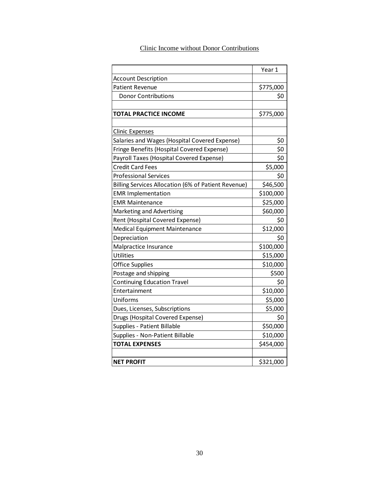# Clinic Income without Donor Contributions

|                                                     | Year 1    |
|-----------------------------------------------------|-----------|
| <b>Account Description</b>                          |           |
| <b>Patient Revenue</b>                              | \$775,000 |
| <b>Donor Contributions</b>                          | \$0       |
|                                                     |           |
| TOTAL PRACTICE INCOME                               | \$775,000 |
|                                                     |           |
| <b>Clinic Expenses</b>                              |           |
| Salaries and Wages (Hospital Covered Expense)       | \$0       |
| Fringe Benefits (Hospital Covered Expense)          | \$0       |
| Payroll Taxes (Hospital Covered Expense)            | \$0       |
| <b>Credit Card Fees</b>                             | \$5,000   |
| <b>Professional Services</b>                        | \$0       |
| Billing Services Allocation (6% of Patient Revenue) | \$46,500  |
| <b>EMR Implementation</b>                           | \$100,000 |
| <b>EMR Maintenance</b>                              | \$25,000  |
| Marketing and Advertising                           | \$60,000  |
| Rent (Hospital Covered Expense)                     | \$0       |
| Medical Equipment Maintenance                       | \$12,000  |
| Depreciation                                        | \$0       |
| Malpractice Insurance                               | \$100,000 |
| <b>Utilities</b>                                    | \$15,000  |
| <b>Office Supplies</b>                              | \$10,000  |
| Postage and shipping                                | \$500     |
| <b>Continuing Education Travel</b>                  | \$0       |
| Entertainment                                       | \$10,000  |
| Uniforms                                            | \$5,000   |
| Dues, Licenses, Subscriptions                       | \$5,000   |
| Drugs (Hospital Covered Expense)                    | \$0       |
| Supplies - Patient Billable                         | \$50,000  |
| Supplies - Non-Patient Billable                     | \$10,000  |
| <b>TOTAL EXPENSES</b>                               | \$454,000 |
|                                                     |           |
| <b>NET PROFIT</b>                                   | \$321,000 |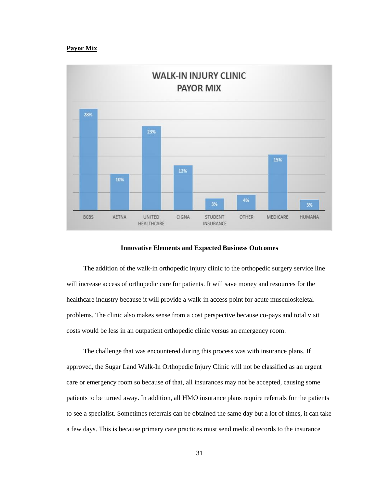### **Payor Mix**



### **Innovative Elements and Expected Business Outcomes**

The addition of the walk-in orthopedic injury clinic to the orthopedic surgery service line will increase access of orthopedic care for patients. It will save money and resources for the healthcare industry because it will provide a walk-in access point for acute musculoskeletal problems. The clinic also makes sense from a cost perspective because co-pays and total visit costs would be less in an outpatient orthopedic clinic versus an emergency room.

 The challenge that was encountered during this process was with insurance plans. If approved, the Sugar Land Walk-In Orthopedic Injury Clinic will not be classified as an urgent care or emergency room so because of that, all insurances may not be accepted, causing some patients to be turned away. In addition, all HMO insurance plans require referrals for the patients to see a specialist. Sometimes referrals can be obtained the same day but a lot of times, it can take a few days. This is because primary care practices must send medical records to the insurance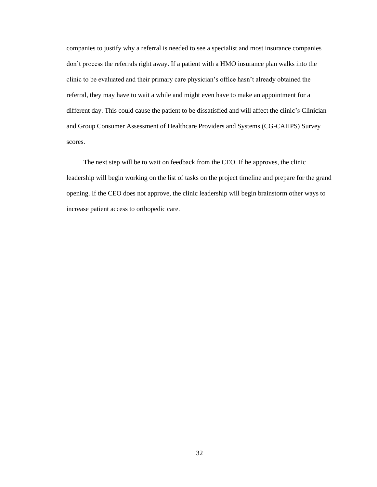companies to justify why a referral is needed to see a specialist and most insurance companies don't process the referrals right away. If a patient with a HMO insurance plan walks into the clinic to be evaluated and their primary care physician's office hasn't already obtained the referral, they may have to wait a while and might even have to make an appointment for a different day. This could cause the patient to be dissatisfied and will affect the clinic's Clinician and Group Consumer Assessment of Healthcare Providers and Systems (CG-CAHPS) Survey scores.

 The next step will be to wait on feedback from the CEO. If he approves, the clinic leadership will begin working on the list of tasks on the project timeline and prepare for the grand opening. If the CEO does not approve, the clinic leadership will begin brainstorm other ways to increase patient access to orthopedic care.